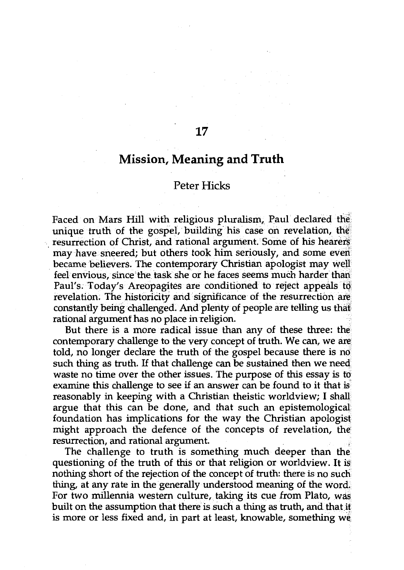## **Mission, Meaning and Truth**

17

## Peter Hicks

Faced on Mars Hill with religious pluralism, Paul declared the unique truth of the gospel, building his case on revelation, the resurrection of Christ, and rational argument. Some of his hearers may have sneered; but others took him seriously, and some even became believers. The contemporary Christian apologist may well feel envious, since the task she or he faces seems much harder than Paul's. Today's Areopagites are conditioned to reject appeals· *tq,*  revelation. The historicity and significance of the resurrection are constantly being challenged. And plenty of people are telling us that rational argument has no place in religion.

But there is a more radical issue than any of these three: the contemporary challenge to the very concept of truth. We can, we are told, no longer declare the truth of the gospel because there is no such thing as truth. If that challenge can be sustained then we need waste no time over the other issues. The purpose of this essay is to examine this challenge to see if an answer can be found to it that is reasonably in keeping with a Christian theistic worldview; I shall argue that this can be done, and that such an epistemological foundation has implications for the way the Christian apologist might approach the defence of the concepts of revelation, the resurrection, and rational argument.

The challenge to truth is something much deeper than the questioning of the truth of this or that religion or worldview. It is nothing short of the rejection of the concept of truth: there is no such thing, at any rate in the generally understood meaning of the word. For two millennia western culture, taking its cue from Plato, was built on the assumption that there is such a thing as truth, and that if is more or less fixed and, in part at least, knowable, something we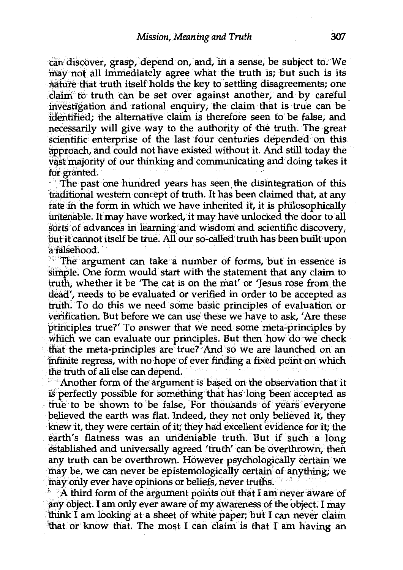can discover, grasp, depend on, and, in a sense, be subject to. We may not all immediately agree what the truth is; but such is its riatute that truth itself holds the key to settling.disagreements; one claim to truth can be set over against another, and by careful investigation and rational enquiry, the claim that is true can be rderttified; the alternative claim is therefore seen to be false, and necessarily will give way to the authority of the truth. The great scientific enterprise of the last four centuries depended on this approach, and could not have existed without it. And still today the vast'majority of our thinking and communicating and doing takes it for granted.

The past one hundred years has seen the disintegration of this traditional western concept of truth. It has been claimed that, at any fate in the form in which we have inherited it, it is philosophically untenable; It may have worked, it may have unlocked the door to all sorts of advances in learning and wisdom and scientific discovery, but it cannot itself be true. All our so-called truth has been built upon a falsehood.

 $*$  The argument can take a number of forms, but in essence is simple. One form would start with the statement that any claim to truth, whether it be 'The cat is on the mat' or 'Jesus rose from. the dead', needs to be evaluated or verified in order to be accepted as truth: To do this we need some basic principles of evaluation or verification. But before we can use these we have to ask, 'Are these principles true?' To answer that we need some meta-principles by which we can evaluate our principles. But then how do we check that the meta-principles are true? And so we are launched on an infinite regress, with no hope of ever finding a fixed point on which the truth of all else can depend.

*1*  Another form of the argument is based on the observation that it is perfectly possible for something that has long been accepted as true to be shown to be false, For thousands of years everyone believed the earth was flat. Indeed, they not only believed it, they knew it, they were certain of it; they had excellent evidence for it; the earth's flatness was an undeniable truth. But if such a long established and universally agreed 'truth' can be overthrown, then any truth can be overthrown. However psychologically certain we may be, we can never be epistemologically certain of anything; we may only ever have opinions or beliefs, never truths.

 $\mathbb{R}$  A third form of the argument points out that I am never aware of any object. I am only ever aware of my awareness of the object. I may 'think I am looking at a sheet of white paper; but I can never claim that or know that. The most I can claim is that I am having an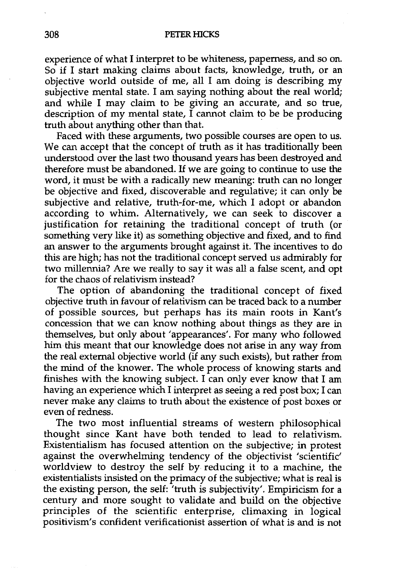experience of what I interpret to be whiteness, paperness, and so on. So if I start making claims about facts, knowledge, truth, or an objective world outside of me, all I am doing is describing my subjective mental state. I am saying nothing about the real world; and while I may claim to be giving an accurate, and so true, description of my mental state,  $\overline{I}$  cannot claim to be be producing truth about anything other than that.

Faced with these arguments, two possible courses are open to us. We can accept that the concept of truth as it has traditionally been understood over the last two thousand years has been destroyed and therefore must be abandoned. If we are going to continue to use the word, it must be with a radically new meaning: truth can no longer be objective and fixed, discoverable and regulative; it can only be subjective and relative, truth-for-me, which I adopt or abandon according to whim. Alternatively, we can seek to discover a justification for retaining the traditional concept of truth (or something very like it) as something objective and fixed, and to find an answer to the arguments brought against it. The incentives to do this are high; has not the traditional concept served us admirably for two millennia? Are we really to say it was all a false scent, and opt for the chaos of relativism instead?

The option of abandoning the traditional concept of fixed objective truth in favour of relativism can be traced back to a number of possible sources, but perhaps has its main roots in Kant's concession that we can know nothing about things as they are in themselves, but only about 'appearances'. For many who followed him this meant that our knowledge does not arise in any way from the real external objective world (if any such exists), but rather from the mind of the knower. The whole process of knowing starts and finishes with the knowing subject. I can only ever know that I am having an experience which I interpret as seeing a red post box; I can never make any claims to truth about the existence of post boxes or even of redness.

The two most influential streams of western philosophical thought since Kant have both tended to lead to relativism. Existentialism has focused attention on the subjective; in protest against the overwhelming tendency of the objectivist 'scientific' worldview to destroy the self by reducing it to a machine, the existentialists insisted on the primacy of the subjective; what is real is the existing person, the self: 'truth is subjectivity'. Empiricism for a century and more sought to validate and build on the objective principles of the scientific enterprise, climaxing in logical positivism's confident verificationist assertion of what is and is not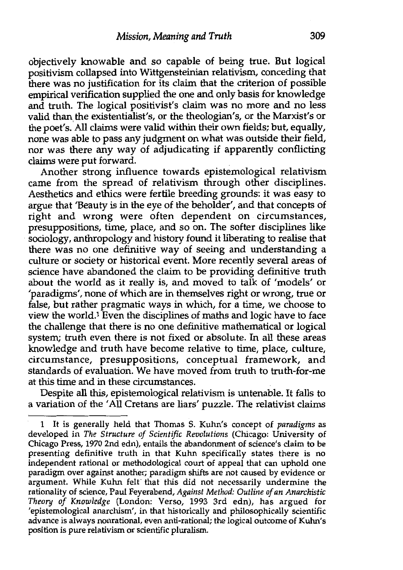objectively knowable and so capable of being true. But logical positivism collapsed into Wittgensteinian relativism, conceding that there was no justification for its claim that the criterion of possible empirical verification supplied the one and only basis for knowledge and truth. The logical positivist's claim was no more and no less valid than, the existentialist's, or the theologian's, or the Marxist's or the poet's. All claims were valid within their own fields; but, equally, none was able to pass any judgment on what was outside their field, nor was there any way of adjudicating if apparently conflicting claims were put forward.

Another strong influence towards epistemological relativism came from the spread of relativism through other disciplines. Aesthetics and ethics were fertile breeding grounds: it was easy to argue that 'Beauty is in the eye of the beholder', and that concepts of right and wrong were often dependent on circumstances, presuppositions, time, place, and so on. The softer disciplines like sociology, anthropology and history found it liberating to realise that there was no one definitive way of seeing and understanding a culture or society or historical event. More recently several areas of science have abandoned the claim to be providing definitive truth about the world as it really is, and moved to talk of 'models' or 'paradigms', none of which are in themselves right or wrong, true or false, but rather pragmatic ways in which, for a time, we choose to view the world.<sup>1</sup> Even the disciplines of maths and logic have to face the challenge that there is no one definitive mathematical or logical system; truth even there is not fixed or absolute. In all these areas knowledge and truth have become relative to time, place, culture, circumstance, presuppositions, conceptual framework, and standards of evaluation. We have moved from truth to truth-for-me at this time and in these circumstances.

Despite all this, epistemological relativism is untenable. It falls to a variation of the 'All Cretans are liars' puzzle. The relativist claims

<sup>1</sup> It is generally held that Thomas S. Kuhn's concept of *paradigms* as developed in *The Structure of Scientific Revolutions* (Chicago: University of Chicago Press, 1970 2nd edn), entails the abandonment of science's claim to be presenting definitive truth in that Kuhn specifically states there is no independent rational or methodological court of appeal that can uphold one paradigm over against another; paradigm shifts are not caused by evidence or argument. While Kuhn felt" that this did not necessarily undermine the rationality of science, Paul Feyerabend, *Against Method: Outline of an Anarchistic Theory of Knowledge* (London: Verso, 1993 3rd edn), has argued for 'epistemological anarchism', in that historically and philosophically scientific advance is always nonrational, even anti-rational; the logical outcome of Kuhn's position is pure relativism or scientific pluralism.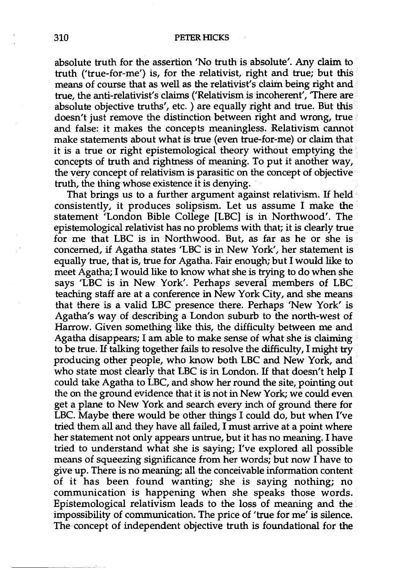absolute truth for the assertion 'No truth is absolute'. Any claim to truth ('true-for-me') is, for the relativist, right and true; but this means of course that as well as the relativist's claim being right and true, the anti-relativist's claims ('Relativism is incoherent', 'There are absolute objective truths', etc. ) are equally right and true. But this doesn't just remove the distinction between right and wrong, true and false: it makes the concepts meaningless. Relativism cannot make statements about what is true (even true-for-me) or claim that it is a true or right epistemological theory without emptying the concepts of truth and rightness of meaning. To put it another way, the very concept of relativism is parasitic on the concept of objective truth, the thing whose existence it is denying.

That brings us to a further argument against relativism. If held consistently, it produces solipsism. Let us assume I make the statement 'London Bible College [LBC] is in Northwood'. The epistemological relativist has no problems with that; it is clearly true for me that LBC is in Northwood. But, as far as he or she is concerned, if Agatha states 'LBC is in New York', her statement is equally true, that is, true for Agatha. Fair enough; but I would like to meet Agatha; I would like to know what she is trying to do when she says 'LBC is in New York'. Perhaps several members of LBC teaching staff are at a conference in New York City, and she means that there is a valid LBC presence there. Perhaps 'New York' is Agatha's way of describing a London suburb to the north-west of Harrow. Given something like this, the difficulty between me and Agatha disappears; I am able to make sense of what she is claiming to be true. If talking together fails to resolve the difficulty, I might try producing other people, who know both LBC and New York, and who state most clearly that LBC is in London. If that doesn't help I could take Agatha to LBC, and show her round the site, pointing out the on the ground evidence that it is not in New York; we could even get a plane to New York and search every inch of ground there for LBC. Maybe there would be other things I could do, but when I've tried them all and they have all failed, I must arrive at a point where her statement not only appears untrue, but it has no meaning. I have tried to understand what she is saying; I've explored all possible means of squeezing significance from her words; but now I have to give up. There is no meaning; all the conceivable information content of it has been found wanting; she is saying nothing; no communication is happening when she speaks those words. Epistemological relativism leads to the loss of meaning and the impossibility of communication. The price of 'true for me' is silence. The concept of independent objective truth is foundational for the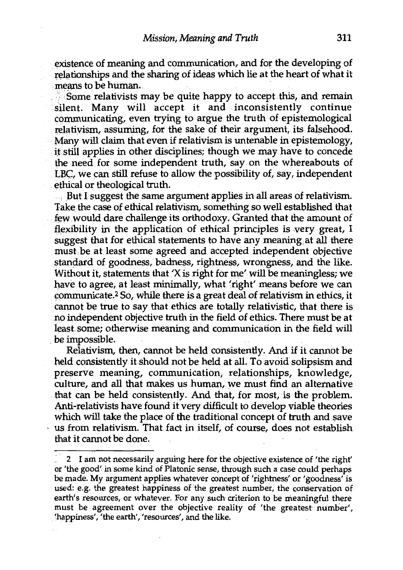existence of meaning and communication, and for the developing of relationships and the sharing of ideas which lie at the heart of what it means to be human.

: Some relativists may be quite happy to accept this, and remain silent. Many will accept it and inconsistently continue communicating, even trying to argue the truth of epistemological relativism, assuming, for the sake of their argument, its falsehood. Many will claim that even if relativism is untenable in epistemology, it still applies in other disciplines; though we may have to concede the need for some independent truth, say. on the whereabouts of LBC, we can still refuse to allow the possibility of, say, independent ethical or theological truth.

.... But I suggest the same argument applies in all areas of relativism. Take the case of ethical relativism, something so well established that few would dare challenge its orthodoxy. Granted that the amount of flexibility in the application of ethical principles is very great, I suggest that for ethical statements to have any meaning at all there must be at least some agreed and accepted independent objective standard of goodness, badness, rightness, wrongness, and the like. Without it, statements that 'X is right for me' will be meaningless; we have to agree, at least minimally, what 'right' means before we can communicate.2 So, while there is a great deal of relativism in ethics, it cannot be true to say that ethics are totally relativistic, that there is no independent objective truth in the field of ethics. There must be at least. some; otherwise meaning and communication in the field will be impossible.

Relativism, then, cannot be held consistently. And if it cannot be held consistently it should not be held at all. To avoid solipsism and preserve meaning, communication, relationships, knowledge, culture, and all that makes us human, we must find an alternative that can be held consistently. And that, for most, is the problem. Anti-relativists have found it very difficult to develop viable theories which will take the place of the traditional concept of truth and save us from relativism. That fact in itself, of course, does not establish that it cannot be done.

<sup>2</sup> I am not necessarily arguing here for the objective existence of 'the right' or 'the good' in some kind of Platonic sense, through such a case could perhaps be made. My argument applies whatever concept of 'rightness' or 'goodness' is used: e.g. the greatest happiness of the greatest number, the conservation of earth's resources, or whatever. For any such criterion to be meaningful there must be agreement over the objective reality of 'the greatest number', 'happiness', 'the earth', 'resources', and the like.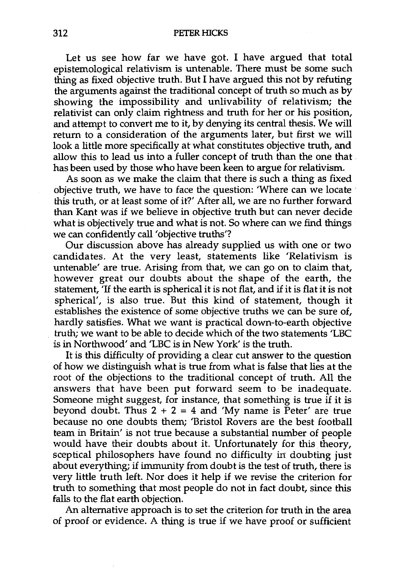Let us see how far we have got. I have argued that total epistemological relativism is untenable. There must be some such thing as fixed objective truth. But I have argued this not by refuting the arguments against the traditional concept of truth so much as by showing the impossibility and unlivability of relativism; the relativist can only claim rightness and truth for her or his position, and attempt to convert me to it, by denying its central thesis. We will return to a consideration of the arguments later, but first we will look a little more specifically at what constitutes objective truth, and allow this to lead us into a fuller concept of truth than the one that has been used by those who have been keen to argue for relativism.

As soon as we make the claim that there is such a thing as fixed objective truth, we have to face the question: 'Where can we locate · this truth, or at least some of it?' After all, we are no further forward than Kant was if we believe in objective truth but can never decide what is objectively true and what is not. So where can we find things we can confidently call 'objective truths'?

Our discussion above has already supplied us with one or two candidates. At the very least, statements like 'Relativism is untenable' are true. Arising from that, we can go on to claim that, however great our doubts about the shape of the earth, the statement, 'If the earth is spherical it is not flat, and if it is flat it is not spherical', is also true. But this kind of statement, though it establishes the existence of some objective truths we can be sure of, hardly satisfies. What we want is practical down-to-earth objective truth; we want to be able to decide which of the two statements 'LBC is in Northwood' and 'LBC is in New York' is the truth.

It is this difficulty of providing a clear cut answer to the question of how we distinguish what is true from what is false that lies at the root of the objections to the traditional concept of truth. All the answers that have been put forward seem to be inadequate. Someone might suggest, for instance, that something is true if it is beyond doubt. Thus  $2 + 2 = 4$  and 'My name is Peter' are true because no one doubts them; 'Bristol Rovers are the best football team in Britain' is not true because a substantial number of people would have their doubts about it. Unfortunately for this theory, sceptical philosophers have found no difficulty in doubting just about everything; if immunity from doubt is the test of truth, there is very little truth left. Nor does it help if we revise the criterion for truth to something that most people do not in fact doubt, since this falls to the flat earth objection.

An alternative approach is to set the criterion for truth in the area of proof or evidence. A thing is true if we have proof or sufficient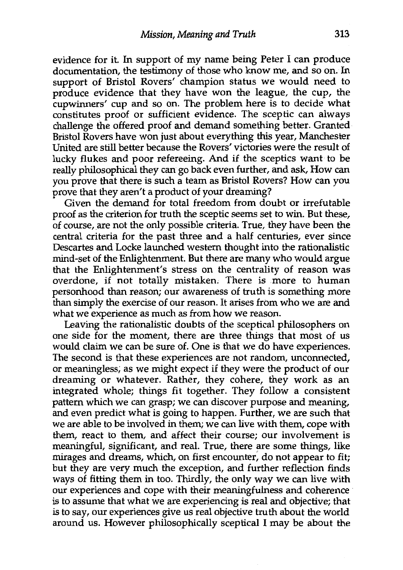evidence for it. fu support of my name being Peter I can produce documentation, the testimony of those who know me, and so on. fu support of Bristol Rovers' champion status we would need to produce evidence that they have won the league, the cup, the cupwinners' cup and so on. The problem here is to decide what constitutes proof or sufficient evidence. The sceptic can always challenge the offered proof and demand something better. Granted Bristol Rovers have won just about everything this year, Manchester United are still better because the Rovers' victories were the result of lucky flukes and poor refereeing. And if the sceptics want to be really philosophical they can go back even further, and ask, How can you prove that there is such a team as Bristol Rovers? How can you prove that they aren't a product of your dreaming?

Given the demand for total freedom from doubt or irrefutable proof as the criterion for truth the sceptic seems set to win. But these, of course, are not the only possible criteria. True, they have been the central criteria for the past three and a half centuries, ever since Descartes and Locke launched western thought into the rationalistic mind-set of the Enlightenment. But there are many who would argue that the Enlightenment's stress on the centrality of reason was overdone, if not totally mistaken. There is more to human personhood than reason; our awareness of truth is something more than simply the exercise of our reason. It arises from who we are and what we experience as much as from how we reason.

Leaving the rationalistic doubts of the sceptical philosophers on one side for the moment, there are three things that most of us would claim we can be sure of. One is that we do have experiences. The second is that these experiences are not random, unconnected, or meaningless; as we might expect if they were the product of our dreaming or whatever. Rather, they cohere, they work as an integrated whole; things fit together. They follow a consistent pattern which we can grasp; we can discover purpose and meaning, and even predict what is going to happen. Further, we are such that we are able to be involved in them; we can live with them, cope with them, react to them, and affect their course; our involvement is meaningful, significant, and real. True, there are some things, like mirages and dreams, which, on first encounter, do not appear to fit; but they are very much the exception, and further reflection finds ways of fitting them in too. Thirdly, the only way we can live with our experiences and cope with their meaningfulness and coherence is to assume that what we are experiencing is real and objective; that is to say, our experiences give us real objective truth about the world around us. However philosophically sceptical I may be about the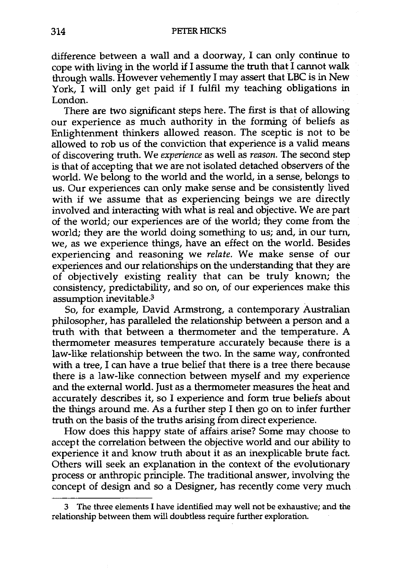difference between a wall and a doorway, I can only continue to cope with living in the world if I assume the truth that I cannot walk through walls. However vehemently I may assert that LBC is in New York, I will only get paid if I fulfil my teaching obligations in London.

There are two significant steps here. The first is that of allowing our experience as much authority in the forming of beliefs as Enlightenment thinkers allowed reason. The sceptic is not to be allowed to rob us of the conviction that experience is a valid means of discovering truth. We *experience* as well as *reason.* The second step is that of accepting that we are not isolated detached observers of the world. We belong to the world and the world, in a sense, belongs to us. Our experiences can only make sense and be consistently lived with if we assume that as experiencing beings we are directly involved and interacting with what is real and objective. We are part of the world; our experiences are of the world; they come from the world; they are the world doing something to us; and, in our turn, we, as we experience things, have an effect on the world. Besides experiencing and reasoning we *relate.* We make sense of our experiences and our relationships on the understanding that they are of objectively existing reality that can be truly known; the consistency, predictability, and so on, of our experiences make this assumption inevitable.<sup>3</sup>

So, for example, David Armstrong, a contemporary Australian philosopher, has paralleled the relationship between a person and a truth with that between a thermometer and the temperature. A thermometer measures temperature accurately because there is a law-like relationship between the two. In the same way, confronted with a tree, I can have a true belief that there is a tree there because there is a law-like connection between myself and my experience and the external world. Just as a thermometer measures the heat and accurately describes it, so I experience and form true beliefs about the things around me. As a further step I then go on to infer further truth on the basis of the truths arising from direct experience.

How does this happy state of affairs arise? Some may choose to accept the correlation between the objective world and our ability to experience it and know truth about it as an inexplicable brute fact. Others will seek an explanation in the context of the evolutionary process or anthropic principle. The traditional answer, involving the concept of design and so a Designer, has recently come very much

<sup>3</sup> The three elements I have identified may well not be exhaustive; and the relationship between them will doubtless require further exploration.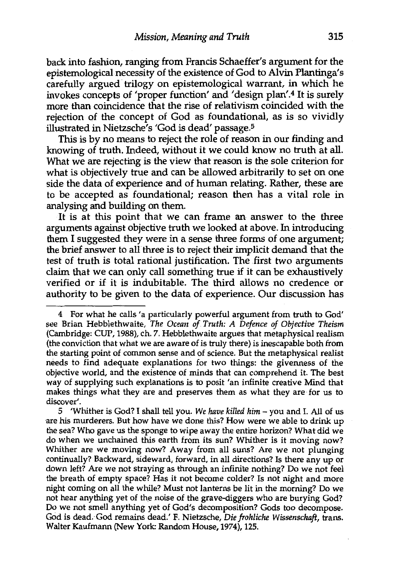back into fashion, ranging from Francis Schaeffer's argument for the epistemological necessity of the existence of God to Alvin Plantinga's carefully argued trilogy on epistemological warrant, in which he invokes concepts of 'proper function' and 'design plan'.4 It is surely more than coincidence that the rise of relativism coincided with the rejection of the concept of God as foundational, as is so vividly illustrated in Nietzsche's 'God is dead' passage.<sup>5</sup>

This is by no means to reject the role of reason in our finding and knowing of truth. Indeed, without it we could know no truth at all. What we are rejecting is the view that reason is the sole criterion for what is objectively true and can be allowed arbitrarily to set on one side the data of experience and of human relating. Rather, these are to be accepted as foundational; reason then has a vital role in analysing and building on them.

It is at this point that we can frame an answer to the three arguments against objective truth we looked at above. In introducing them I suggested they were in a sense three forms of one argument; the brief answer to all three is to reject their implicit demand that the test of truth is total rational justification. The first two arguments claim that we can only call something true if it can be exhaustively verified or if it is indubitable. The third allows no credence or authority to be given to the data of experience. Our discussion has

<sup>4</sup> For what he calls 'a particularly powerful argument from truth to God' see Brian Hebblethwaite, *The Ocean of Truth: A Defence of Objective Theism*  (Cambridge: CUP, 1988), eh. 7. Hebblethwaite argues that metaphysical realism (the conviction that what we are aware of is truly there) is inescapable both from the starting point of common sense and of science. But the metaphysical realist needs to find adequate explanations for two things: the givenness of the objective world, and the existence of minds that can comprehend it. The best way of supplying such explanations is to posit 'an infinite creative Mind that makes things what they are and preserves them as what they are for us to discover'.

<sup>5 &#</sup>x27;Whither is God? I shall tell you. *We have killed him* - you and I. All of us are his murderers. But how have we done this? How were we able to drink up the sea? Who gave us the sponge to wipe away the entire horizon? What did we do when we unchained this earth from its sun? Whither is it moving now? Whither are we moving now? Away from all suns? Are we not plunging continually? Backward, sideward, forward, in all directions? Is there any up or down left? Are we not straying as through an infinite nothing? Do we not feel the breath of empty space? Has it not become colder? Is not night and more night coming on all the while? Must not lanterns be lit in the morning? Do we not hear anything yet of the noise of the grave-diggers who are burying God? Do we not smell anything yet of God's decomposition? Gods too decompose. Gcid is dead. God remains dead.' F. Nietzsche, *Die frohliche Wissenschaft,* trans. Walter Kaufmann (New York: Random House, 1974), 125.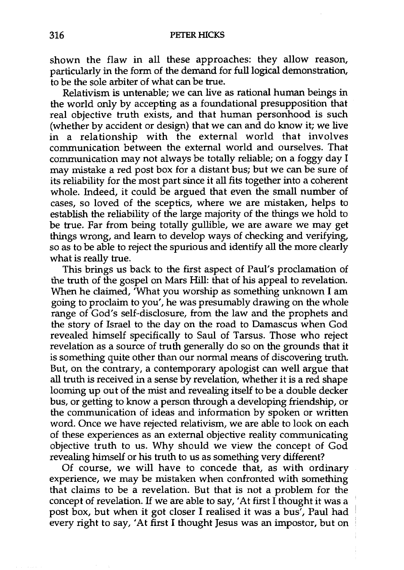shown the flaw in all these approaches: they allow reason, particularly in the form of the demand for full logical demonstration, to be the sole arbiter of what can be true.

Relativism is untenable; we can live as rational human beings in the world only by accepting as a foundational presupposition that real objective truth exists, and that human personhood is such (whether by accident or design) that we can and do know it; we live in a relationship with the external world that involves communication between the external world and ourselves. That communication may not always be totally reliable; on a foggy day I may mistake a red post box for a distant bus; but we can be sure of its reliability for the most part since it all fits together into a coherent whole. Indeed, it could be argued that even the small number of cases, so loved of the sceptics, where we are mistaken, helps to establish the reliability of the large majority of the things we hold to be true. Far from being totally gullible, we are aware we may get things wrong, and learn to develop ways of checking and verifying, so as to be able to reject the spurious and identify all the more clearly what is really true.

This brings us back to the first aspect of Paul's proclamation of the truth of the gospel on Mars Hill: that of his appeal to revelation. When he claimed, 'What you worship as something unknown I am going to proclaim to you', he was presumably drawing on the whole range of God's self-disclosure, from the law and the prophets and the story of Israel to the day on the road to Damascus when God revealed himself specifically to Saul of Tarsus. Those who reject revelation as a source of truth generally do so on the grounds that it is something quite other than our normal means of discovering truth. But, on the contrary, a contemporary apologist can well argue that all truth is received in a sense by revelation, whether it is a red shape looming up out of the mist and revealing itself to be a double decker bus, or getting to know a person through a developing friendship, or the communication of ideas and information by spoken or written word. Once we have rejected relativism, we are able to look on each of these experiences as an external objective reality communicating objective truth to us. Why should we view the concept of God revealing himself or his truth to us as something very different?

Of course, we will have to concede that, as with ordinary experience, we may be mistaken when confronted with something that claims to be a revelation. But that is not a problem for the concept of revelation. If we are able to say, 'At first  $\overline{I}$  thought it was a post box, but when it got closer I realised it was a bus', Paul had every right to say, 'At first I thought Jesus was an impostor, but on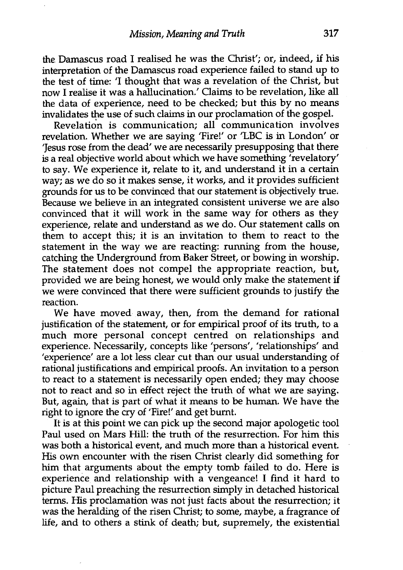the Damascus road I realised he was the Christ'; or, indeed, if his interpretation of the Damascus road experience failed to stand up to the test of time: 'I thought that was a revelation of the Christ, but now I realise it was a hallucination.' Claims to be revelation, like all the data of experience, need to be checked; but this by no means invalidates the use of such claims in our proclamation of the gospel.

Revelation is communication; all communication involves revelation. Whether we are saying 'Fire!' or 'LBC is in London' or 'Jesus rose from the dead' we are necessarily presupposing that there is a real objective world about which we have something 'revelatory' to say. We experience it, relate to it, and understand it in a certain way; as we do so it makes sense, it works, and it provides sufficient grounds for us to be convinced that our statement is objectively true. Because we believe in an integrated consistent universe we are also convinced that it will work in the same way for others as they experience, relate and understand as we do. Our statement calls on them to accept this; it is an invitation to them to react to the statement in the way we are reacting: running from the house, catching the Underground from Baker Street, or bowing in worship. The statement does not compel the appropriate reaction, but, provided we are being honest, we would only make the statement if we were convinced that there were sufficient grounds to justify the reaction.

We have moved away, then, from the demand for rational justification of the statement, or for empirical proof of its truth, to a much more personal concept centred on relationships and experience. Necessarily, concepts like 'persons', 'relationships' and 'experience' are a lot less clear cut than our usual understanding of rational justifications and empirical proofs. An invitation to a person to react to a statement is necessarily open ended; they may choose not to react and so in effect reject the truth of what we are saying. But, again, that is part of what it means to be human. We have the right to ignore the cry of 'Fire!' and get burnt.

It is at this point we can pick up the second major apologetic tool Paul used on Mars Hill: the truth of the resurrection. For him this was both a historical event, and much more than a historical event. His own encounter with the risen Christ clearly did something for him that arguments about the empty tomb failed to do. Here is experience and relationship with a vengeance! I find it hard to picture Paul preaching the resurrection simply in detached historical terms. His proclamation was not just facts about the resurrection; it was the heralding of the risen Christ; to some, maybe, a fragrance of life, and to others a stink of death; but, supremely, the existential